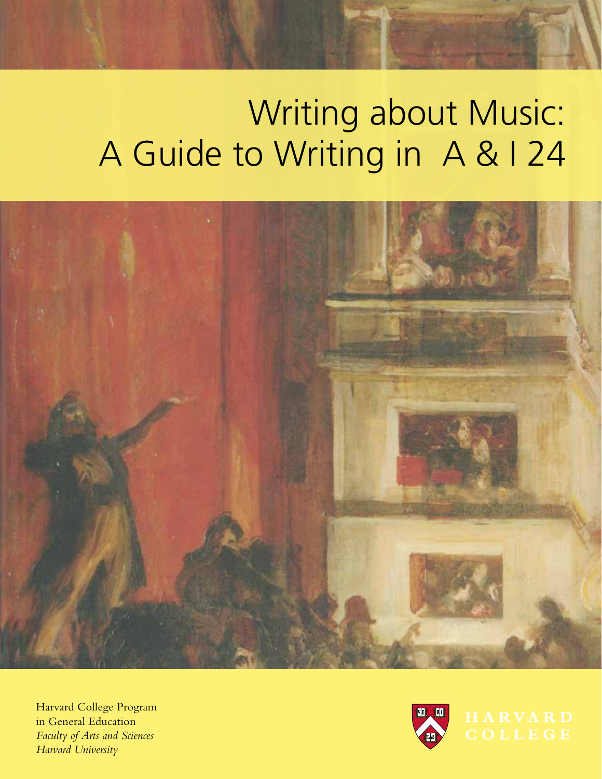# Writing about Music: A Guide to Writing in A & I 24



Harvard College Program in General Education *Faculty of Arts and Sciences Harvard University*

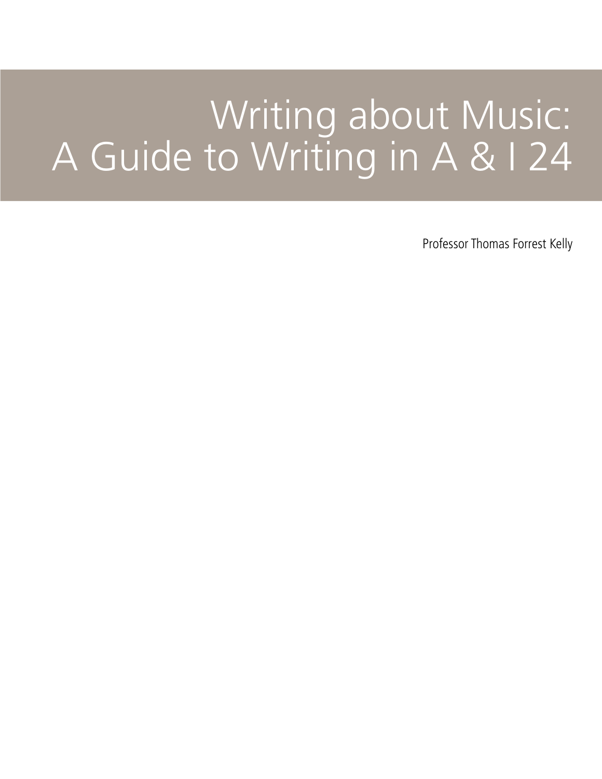# Writing about Music: A Guide to Writing in A & I 24

Professor Thomas Forrest Kelly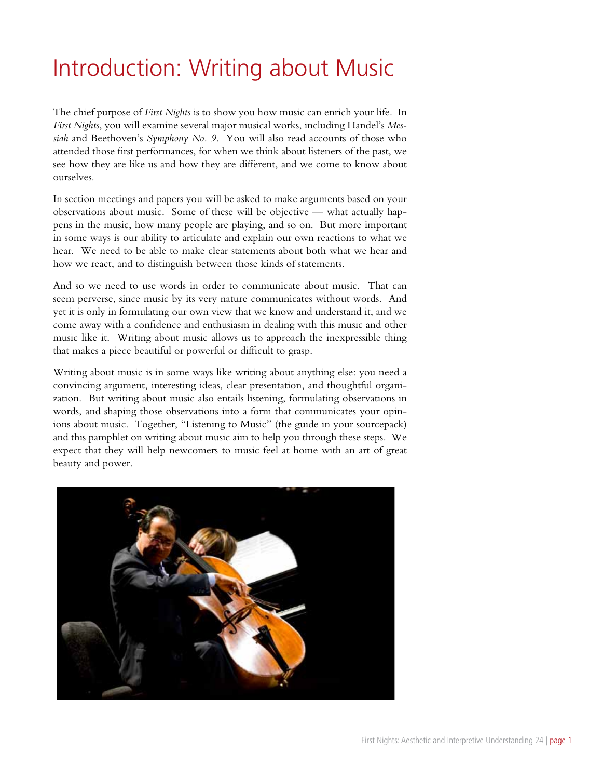## Introduction: Writing about Music

The chief purpose of *First Nights* is to show you how music can enrich your life. In *First Nights*, you will examine several major musical works, including Handel's *Messiah* and Beethoven's *Symphony No. 9*. You will also read accounts of those who attended those first performances, for when we think about listeners of the past, we see how they are like us and how they are different, and we come to know about ourselves.

In section meetings and papers you will be asked to make arguments based on your observations about music. Some of these will be objective — what actually happens in the music, how many people are playing, and so on. But more important in some ways is our ability to articulate and explain our own reactions to what we hear. We need to be able to make clear statements about both what we hear and how we react, and to distinguish between those kinds of statements.

And so we need to use words in order to communicate about music. That can seem perverse, since music by its very nature communicates without words. And yet it is only in formulating our own view that we know and understand it, and we come away with a confidence and enthusiasm in dealing with this music and other music like it. Writing about music allows us to approach the inexpressible thing that makes a piece beautiful or powerful or difficult to grasp.

Writing about music is in some ways like writing about anything else: you need a convincing argument, interesting ideas, clear presentation, and thoughtful organization. But writing about music also entails listening, formulating observations in words, and shaping those observations into a form that communicates your opinions about music. Together, "Listening to Music" (the guide in your sourcepack) and this pamphlet on writing about music aim to help you through these steps. We expect that they will help newcomers to music feel at home with an art of great beauty and power.

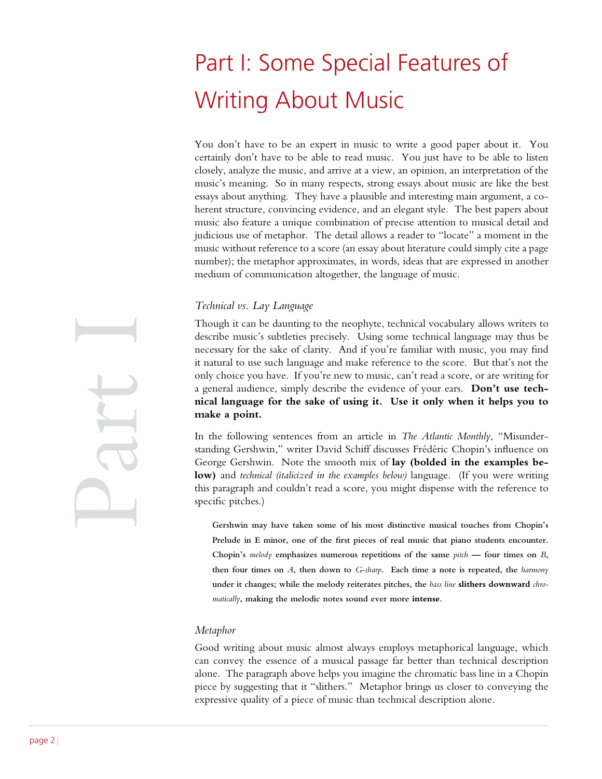# Part I: Some Special Features of Writing About Music

You don't have to be an expert in music to write a good paper about it. You certainly don't have to be able to read music. You just have to be able to listen closely, analyze the music, and arrive at a view, an opinion, an interpretation of the music's meaning. So in many respects, strong essays about music are like the best essays about anything. They have a plausible and interesting main argument, a coherent structure, convincing evidence, and an elegant style. The best papers about music also feature a unique combination of precise attention to musical detail and judicious use of metaphor. The detail allows a reader to "locate" a moment in the music without reference to a score (an essay about literature could simply cite a page number); the metaphor approximates, in words, ideas that are expressed in another medium of communication altogether, the language of music.

#### *Technical vs. Lay Language*

Though it can be daunting to the neophyte, technical vocabulary allows writers to describe music's subtleties precisely. Using some technical language may thus be necessary for the sake of clarity. And if you're familiar with music, you may find it natural to use such language and make reference to the score. But that's not the only choice you have. If you're new to music, can't read a score, or are writing for a general audience, simply describe the evidence of your ears. **Don't use technical language for the sake of using it. Use it only when it helps you to make a point.**

In the following sentences from an article in *The Atlantic Monthly*, "Misunderstanding Gershwin," writer David Schiff discusses Frédéric Chopin's influence on George Gershwin. Note the smooth mix of **lay (bolded in the examples below)** and *technical (italicized in the examples below)* language. (If you were writing this paragraph and couldn't read a score, you might dispense with the reference to specific pitches.)

**Gershwin may have taken some of his most distinctive musical touches from Chopin's Prelude in E minor, one of the first pieces of real music that piano students encounter. Chopin's** *melody* **emphasizes numerous repetitions of the same** *pitch* **— four times on** *B***, then four times on** *A***, then down to** *G-sharp***. Each time a note is repeated, the** *harmony*  **under it changes; while the melody reiterates pitches, the** *bass line* **slithers downward** *chromatically***, making the melodic notes sound ever more intense.**

#### *Metaphor*

Good writing about music almost always employs metaphorical language, which can convey the essence of a musical passage far better than technical description alone. The paragraph above helps you imagine the chromatic bass line in a Chopin piece by suggesting that it "slithers." Metaphor brings us closer to conveying the expressive quality of a piece of music than technical description alone.

Part I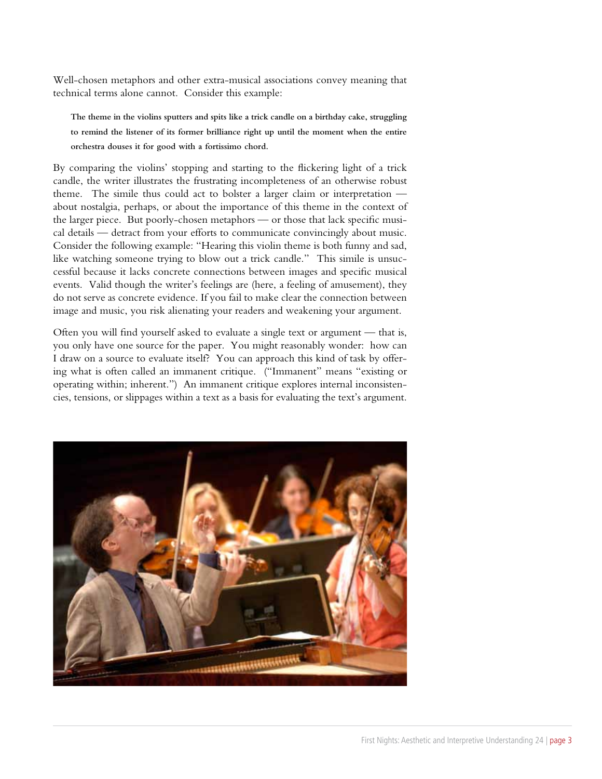Well-chosen metaphors and other extra-musical associations convey meaning that technical terms alone cannot. Consider this example:

**The theme in the violins sputters and spits like a trick candle on a birthday cake, struggling to remind the listener of its former brilliance right up until the moment when the entire orchestra douses it for good with a fortissimo chord.**

By comparing the violins' stopping and starting to the flickering light of a trick candle, the writer illustrates the frustrating incompleteness of an otherwise robust theme. The simile thus could act to bolster a larger claim or interpretation about nostalgia, perhaps, or about the importance of this theme in the context of the larger piece. But poorly-chosen metaphors — or those that lack specific musical details — detract from your efforts to communicate convincingly about music. Consider the following example: "Hearing this violin theme is both funny and sad, like watching someone trying to blow out a trick candle." This simile is unsuccessful because it lacks concrete connections between images and specific musical events. Valid though the writer's feelings are (here, a feeling of amusement), they do not serve as concrete evidence. If you fail to make clear the connection between image and music, you risk alienating your readers and weakening your argument.

Often you will find yourself asked to evaluate a single text or argument — that is, you only have one source for the paper. You might reasonably wonder: how can I draw on a source to evaluate itself? You can approach this kind of task by offering what is often called an immanent critique. ("Immanent" means "existing or operating within; inherent.") An immanent critique explores internal inconsistencies, tensions, or slippages within a text as a basis for evaluating the text's argument.

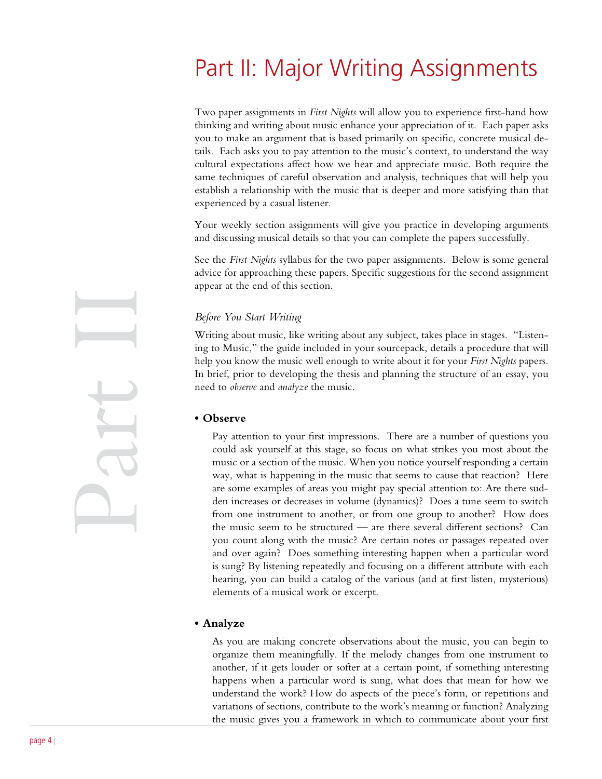### Part II: Major Writing Assignments

Two paper assignments in *First Nights* will allow you to experience first-hand how thinking and writing about music enhance your appreciation of it. Each paper asks you to make an argument that is based primarily on specific, concrete musical details. Each asks you to pay attention to the music's context, to understand the way cultural expectations affect how we hear and appreciate music. Both require the same techniques of careful observation and analysis, techniques that will help you establish a relationship with the music that is deeper and more satisfying than that experienced by a casual listener.

Your weekly section assignments will give you practice in developing arguments and discussing musical details so that you can complete the papers successfully.

See the *First Nights* syllabus for the two paper assignments. Below is some general advice for approaching these papers. Specific suggestions for the second assignment appear at the end of this section.

#### *Before You Start Writing*

Writing about music, like writing about any subject, takes place in stages. "Listening to Music," the guide included in your sourcepack, details a procedure that will help you know the music well enough to write about it for your *First Nights* papers. In brief, prior to developing the thesis and planning the structure of an essay, you need to *observe* and *analyze* the music.

#### **• Observe**

Pay attention to your first impressions. There are a number of questions you could ask yourself at this stage, so focus on what strikes you most about the music or a section of the music. When you notice yourself responding a certain way, what is happening in the music that seems to cause that reaction? Here are some examples of areas you might pay special attention to: Are there sudden increases or decreases in volume (dynamics)? Does a tune seem to switch from one instrument to another, or from one group to another? How does the music seem to be structured — are there several different sections? Can you count along with the music? Are certain notes or passages repeated over and over again? Does something interesting happen when a particular word is sung? By listening repeatedly and focusing on a different attribute with each hearing, you can build a catalog of the various (and at first listen, mysterious) elements of a musical work or excerpt.

#### **• Analyze**

As you are making concrete observations about the music, you can begin to organize them meaningfully. If the melody changes from one instrument to another, if it gets louder or softer at a certain point, if something interesting happens when a particular word is sung, what does that mean for how we understand the work? How do aspects of the piece's form, or repetitions and variations of sections, contribute to the work's meaning or function? Analyzing the music gives you a framework in which to communicate about your first

Part II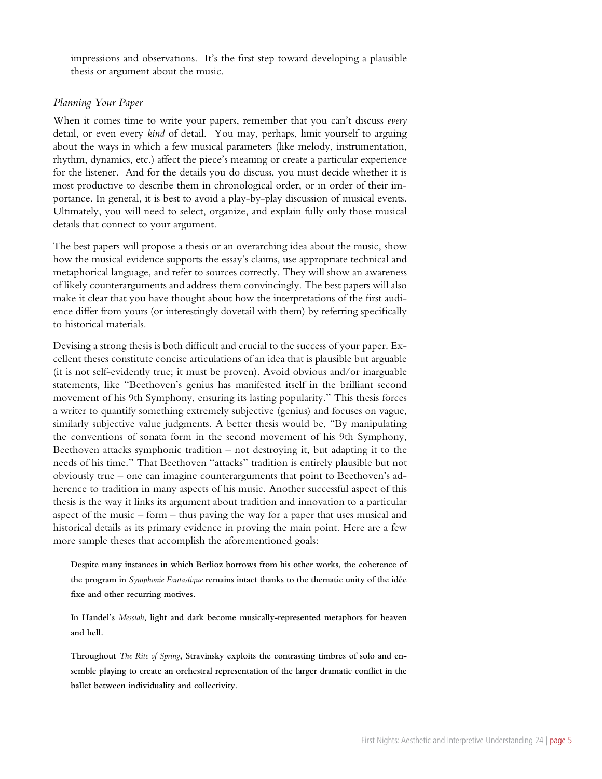impressions and observations. It's the first step toward developing a plausible thesis or argument about the music.

#### *Planning Your Paper*

When it comes time to write your papers, remember that you can't discuss *every*  detail, or even every *kind* of detail. You may, perhaps, limit yourself to arguing about the ways in which a few musical parameters (like melody, instrumentation, rhythm, dynamics, etc.) affect the piece's meaning or create a particular experience for the listener. And for the details you do discuss, you must decide whether it is most productive to describe them in chronological order, or in order of their importance. In general, it is best to avoid a play-by-play discussion of musical events. Ultimately, you will need to select, organize, and explain fully only those musical details that connect to your argument.

The best papers will propose a thesis or an overarching idea about the music, show how the musical evidence supports the essay's claims, use appropriate technical and metaphorical language, and refer to sources correctly. They will show an awareness of likely counterarguments and address them convincingly. The best papers will also make it clear that you have thought about how the interpretations of the first audience differ from yours (or interestingly dovetail with them) by referring specifically to historical materials.

Devising a strong thesis is both difficult and crucial to the success of your paper. Excellent theses constitute concise articulations of an idea that is plausible but arguable (it is not self-evidently true; it must be proven). Avoid obvious and/or inarguable statements, like "Beethoven's genius has manifested itself in the brilliant second movement of his 9th Symphony, ensuring its lasting popularity." This thesis forces a writer to quantify something extremely subjective (genius) and focuses on vague, similarly subjective value judgments. A better thesis would be, "By manipulating the conventions of sonata form in the second movement of his 9th Symphony, Beethoven attacks symphonic tradition  $-$  not destroying it, but adapting it to the needs of his time." That Beethoven "attacks" tradition is entirely plausible but not obviously true – one can imagine counterarguments that point to Beethoven's adherence to tradition in many aspects of his music. Another successful aspect of this thesis is the way it links its argument about tradition and innovation to a particular aspect of the music – form – thus paving the way for a paper that uses musical and historical details as its primary evidence in proving the main point. Here are a few more sample theses that accomplish the aforementioned goals:

**Despite many instances in which Berlioz borrows from his other works, the coherence of the program in** *Symphonie Fantastique* **remains intact thanks to the thematic unity of the idée fixe and other recurring motives.**

**In Handel's** *Messiah***, light and dark become musically-represented metaphors for heaven and hell.**

**Throughout** *The Rite of Spring***, Stravinsky exploits the contrasting timbres of solo and ensemble playing to create an orchestral representation of the larger dramatic conflict in the ballet between individuality and collectivity.**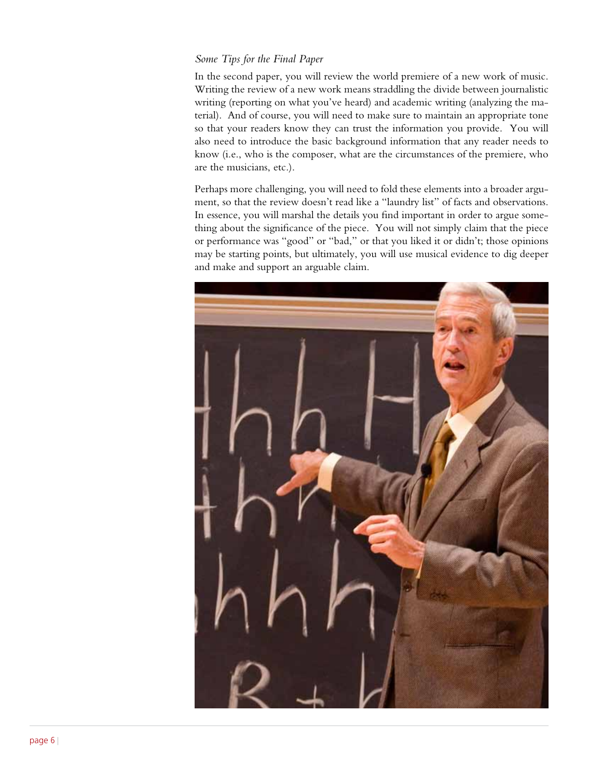#### *Some Tips for the Final Paper*

In the second paper, you will review the world premiere of a new work of music. Writing the review of a new work means straddling the divide between journalistic writing (reporting on what you've heard) and academic writing (analyzing the material). And of course, you will need to make sure to maintain an appropriate tone so that your readers know they can trust the information you provide. You will also need to introduce the basic background information that any reader needs to know (i.e., who is the composer, what are the circumstances of the premiere, who are the musicians, etc.).

Perhaps more challenging, you will need to fold these elements into a broader argument, so that the review doesn't read like a "laundry list" of facts and observations. In essence, you will marshal the details you find important in order to argue something about the significance of the piece. You will not simply claim that the piece or performance was "good" or "bad," or that you liked it or didn't; those opinions may be starting points, but ultimately, you will use musical evidence to dig deeper and make and support an arguable claim.

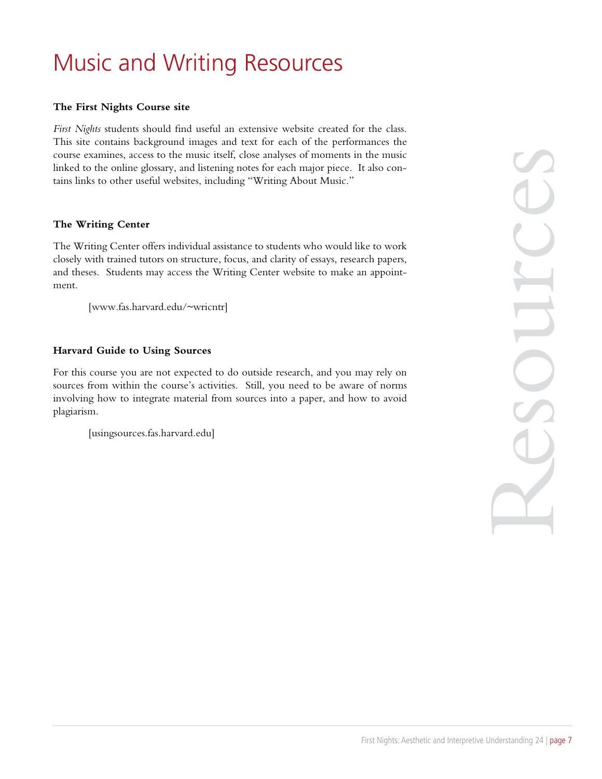## Music and Writing Resources

#### **The First Nights Course site**

*First Nights* students should find useful an extensive website created for the class. This site contains background images and text for each of the performances the course examines, access to the music itself, close analyses of moments in the music linked to the online glossary, and listening notes for each major piece. It also contains links to other useful websites, including "Writing About Music."

#### **The Writing Center**

The Writing Center offers individual assistance to students who would like to work closely with trained tutors on structure, focus, and clarity of essays, research papers, and theses. Students may access the Writing Center website to make an appointment.

[www.fas.harvard.edu/~wricntr]

#### **Harvard Guide to Using Sources**

For this course you are not expected to do outside research, and you may rely on sources from within the course's activities. Still, you need to be aware of norms involving how to integrate material from sources into a paper, and how to avoid plagiarism.

[usingsources.fas.harvard.edu]